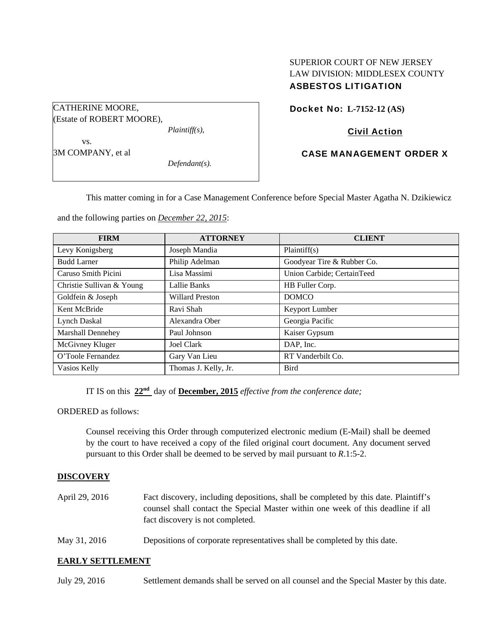# SUPERIOR COURT OF NEW JERSEY LAW DIVISION: MIDDLESEX COUNTY ASBESTOS LITIGATION

Docket No: **L-7152-12 (AS)** 

## Civil Action

### CASE MANAGEMENT ORDER X

This matter coming in for a Case Management Conference before Special Master Agatha N. Dzikiewicz

and the following parties on *December 22, 2015*:

*Plaintiff(s),* 

*Defendant(s).* 

| <b>FIRM</b>               | <b>ATTORNEY</b>        | <b>CLIENT</b>              |
|---------------------------|------------------------|----------------------------|
| Levy Konigsberg           | Joseph Mandia          | Plaintiff(s)               |
| <b>Budd Larner</b>        | Philip Adelman         | Goodyear Tire & Rubber Co. |
| Caruso Smith Picini       | Lisa Massimi           | Union Carbide; CertainTeed |
| Christie Sullivan & Young | Lallie Banks           | HB Fuller Corp.            |
| Goldfein & Joseph         | <b>Willard Preston</b> | <b>DOMCO</b>               |
| Kent McBride              | Ravi Shah              | Keyport Lumber             |
| <b>Lynch Daskal</b>       | Alexandra Ober         | Georgia Pacific            |
| <b>Marshall Dennehey</b>  | Paul Johnson           | Kaiser Gypsum              |
| McGivney Kluger           | Joel Clark             | DAP, Inc.                  |
| O'Toole Fernandez         | Gary Van Lieu          | RT Vanderbilt Co.          |
| Vasios Kelly              | Thomas J. Kelly, Jr.   | <b>Bird</b>                |

IT IS on this **22nd** day of **December, 2015** *effective from the conference date;*

ORDERED as follows:

CATHERINE MOORE,

 vs. 3M COMPANY, et al

(Estate of ROBERT MOORE),

Counsel receiving this Order through computerized electronic medium (E-Mail) shall be deemed by the court to have received a copy of the filed original court document. Any document served pursuant to this Order shall be deemed to be served by mail pursuant to *R*.1:5-2.

### **DISCOVERY**

- April 29, 2016 Fact discovery, including depositions, shall be completed by this date. Plaintiff's counsel shall contact the Special Master within one week of this deadline if all fact discovery is not completed.
- May 31, 2016 Depositions of corporate representatives shall be completed by this date.

### **EARLY SETTLEMENT**

July 29, 2016 Settlement demands shall be served on all counsel and the Special Master by this date.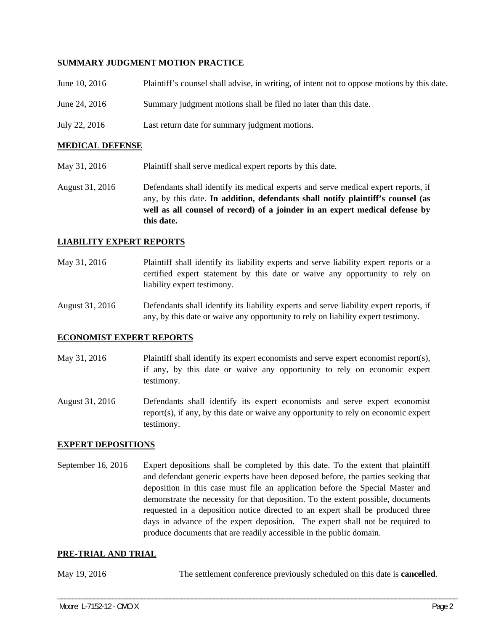### **SUMMARY JUDGMENT MOTION PRACTICE**

| June 10, 2016 | Plaintiff's counsel shall advise, in writing, of intent not to oppose motions by this date. |
|---------------|---------------------------------------------------------------------------------------------|
| June 24, 2016 | Summary judgment motions shall be filed no later than this date.                            |
| July 22, 2016 | Last return date for summary judgment motions.                                              |

### **MEDICAL DEFENSE**

- May 31, 2016 Plaintiff shall serve medical expert reports by this date.
- August 31, 2016 Defendants shall identify its medical experts and serve medical expert reports, if any, by this date. **In addition, defendants shall notify plaintiff's counsel (as well as all counsel of record) of a joinder in an expert medical defense by this date.**

#### **LIABILITY EXPERT REPORTS**

May 31, 2016 Plaintiff shall identify its liability experts and serve liability expert reports or a certified expert statement by this date or waive any opportunity to rely on liability expert testimony.

August 31, 2016 Defendants shall identify its liability experts and serve liability expert reports, if any, by this date or waive any opportunity to rely on liability expert testimony.

#### **ECONOMIST EXPERT REPORTS**

- May 31, 2016 Plaintiff shall identify its expert economists and serve expert economist report(s), if any, by this date or waive any opportunity to rely on economic expert testimony.
- August 31, 2016 Defendants shall identify its expert economists and serve expert economist report(s), if any, by this date or waive any opportunity to rely on economic expert testimony.

### **EXPERT DEPOSITIONS**

September 16, 2016 Expert depositions shall be completed by this date. To the extent that plaintiff and defendant generic experts have been deposed before, the parties seeking that deposition in this case must file an application before the Special Master and demonstrate the necessity for that deposition. To the extent possible, documents requested in a deposition notice directed to an expert shall be produced three days in advance of the expert deposition. The expert shall not be required to produce documents that are readily accessible in the public domain.

### **PRE-TRIAL AND TRIAL**

May 19, 2016 The settlement conference previously scheduled on this date is **cancelled**.

\_\_\_\_\_\_\_\_\_\_\_\_\_\_\_\_\_\_\_\_\_\_\_\_\_\_\_\_\_\_\_\_\_\_\_\_\_\_\_\_\_\_\_\_\_\_\_\_\_\_\_\_\_\_\_\_\_\_\_\_\_\_\_\_\_\_\_\_\_\_\_\_\_\_\_\_\_\_\_\_\_\_\_\_\_\_\_\_\_\_\_\_\_\_\_\_\_\_\_\_\_\_\_\_\_\_\_\_\_\_